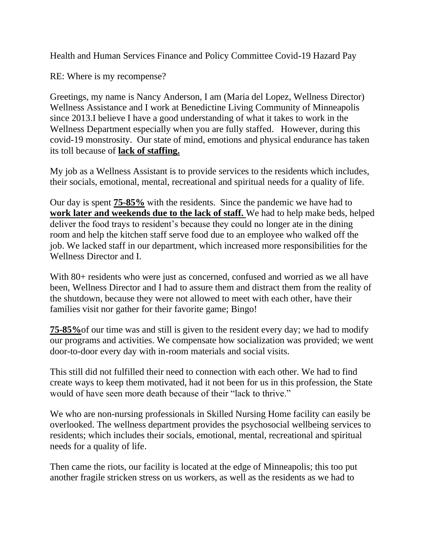Health and Human Services Finance and Policy Committee Covid-19 Hazard Pay

RE: Where is my recompense?

Greetings, my name is Nancy Anderson, I am (Maria del Lopez, Wellness Director) Wellness Assistance and I work at Benedictine Living Community of Minneapolis since 2013.I believe I have a good understanding of what it takes to work in the Wellness Department especially when you are fully staffed. However, during this covid-19 monstrosity. Our state of mind, emotions and physical endurance has taken its toll because of **lack of staffing.** 

My job as a Wellness Assistant is to provide services to the residents which includes, their socials, emotional, mental, recreational and spiritual needs for a quality of life.

Our day is spent **75-85%** with the residents. Since the pandemic we have had to **work later and weekends due to the lack of staff.** We had to help make beds, helped deliver the food trays to resident's because they could no longer ate in the dining room and help the kitchen staff serve food due to an employee who walked off the job. We lacked staff in our department, which increased more responsibilities for the Wellness Director and I.

With 80+ residents who were just as concerned, confused and worried as we all have been, Wellness Director and I had to assure them and distract them from the reality of the shutdown, because they were not allowed to meet with each other, have their families visit nor gather for their favorite game; Bingo!

**75-85%**of our time was and still is given to the resident every day; we had to modify our programs and activities. We compensate how socialization was provided; we went door-to-door every day with in-room materials and social visits.

This still did not fulfilled their need to connection with each other. We had to find create ways to keep them motivated, had it not been for us in this profession, the State would of have seen more death because of their "lack to thrive."

We who are non-nursing professionals in Skilled Nursing Home facility can easily be overlooked. The wellness department provides the psychosocial wellbeing services to residents; which includes their socials, emotional, mental, recreational and spiritual needs for a quality of life.

Then came the riots, our facility is located at the edge of Minneapolis; this too put another fragile stricken stress on us workers, as well as the residents as we had to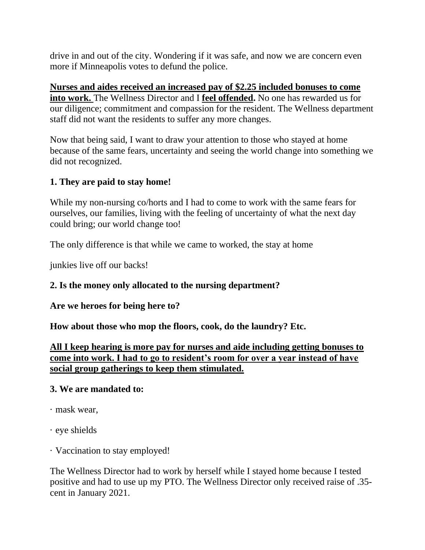drive in and out of the city. Wondering if it was safe, and now we are concern even more if Minneapolis votes to defund the police.

**Nurses and aides received an increased pay of \$2.25 included bonuses to come into work.** The Wellness Director and I **feel offended.** No one has rewarded us for our diligence; commitment and compassion for the resident. The Wellness department staff did not want the residents to suffer any more changes.

Now that being said, I want to draw your attention to those who stayed at home because of the same fears, uncertainty and seeing the world change into something we did not recognized.

### **1. They are paid to stay home!**

While my non-nursing co/horts and I had to come to work with the same fears for ourselves, our families, living with the feeling of uncertainty of what the next day could bring; our world change too!

The only difference is that while we came to worked, the stay at home

junkies live off our backs!

### **2. Is the money only allocated to the nursing department?**

**Are we heroes for being here to?** 

**How about those who mop the floors, cook, do the laundry? Etc.** 

**All I keep hearing is more pay for nurses and aide including getting bonuses to come into work. I had to go to resident's room for over a year instead of have social group gatherings to keep them stimulated.** 

#### **3. We are mandated to:**

- · mask wear,
- · eye shields
- · Vaccination to stay employed!

The Wellness Director had to work by herself while I stayed home because I tested positive and had to use up my PTO. The Wellness Director only received raise of .35 cent in January 2021.